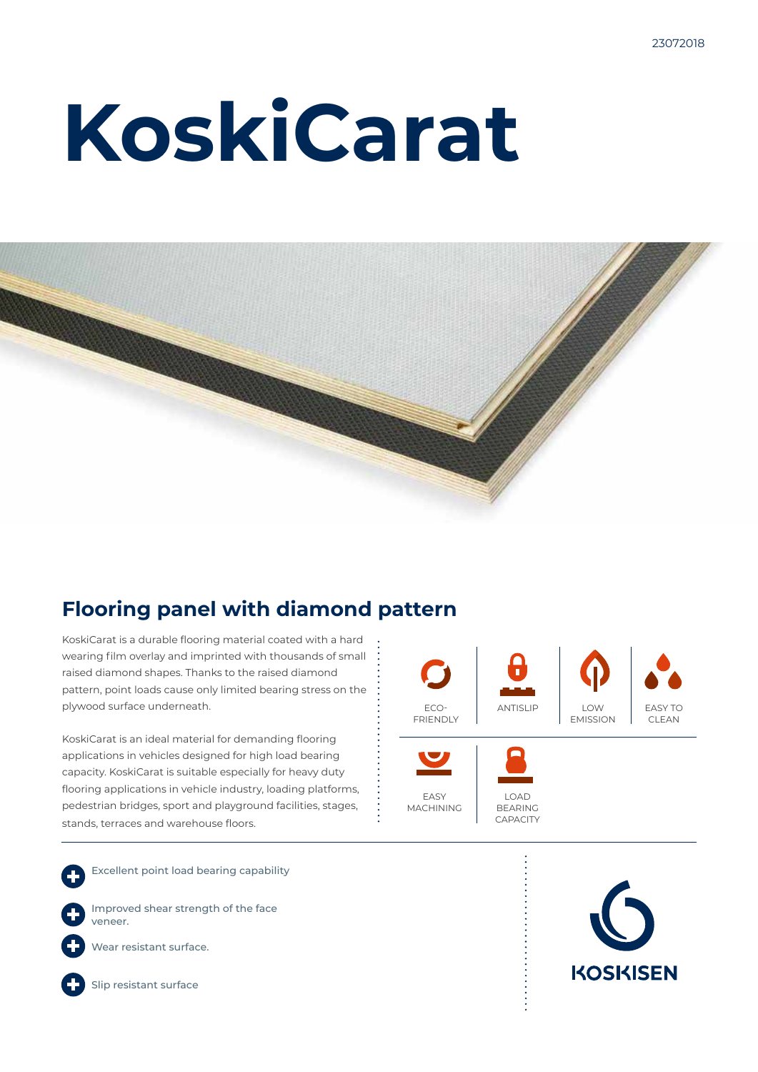# **KoskiCarat**



### **Flooring panel with diamond pattern**

KoskiCarat is a durable flooring material coated with a hard wearing film overlay and imprinted with thousands of small raised diamond shapes. Thanks to the raised diamond pattern, point loads cause only limited bearing stress on the plywood surface underneath.

KoskiCarat is an ideal material for demanding flooring applications in vehicles designed for high load bearing capacity. KoskiCarat is suitable especially for heavy duty flooring applications in vehicle industry, loading platforms, pedestrian bridges, sport and playground facilities, stages, stands, terraces and warehouse floors.



Excellent point load bearing capability

Improved shear strength of the face veneer.



Wear resistant surface.



Slip resistant surface